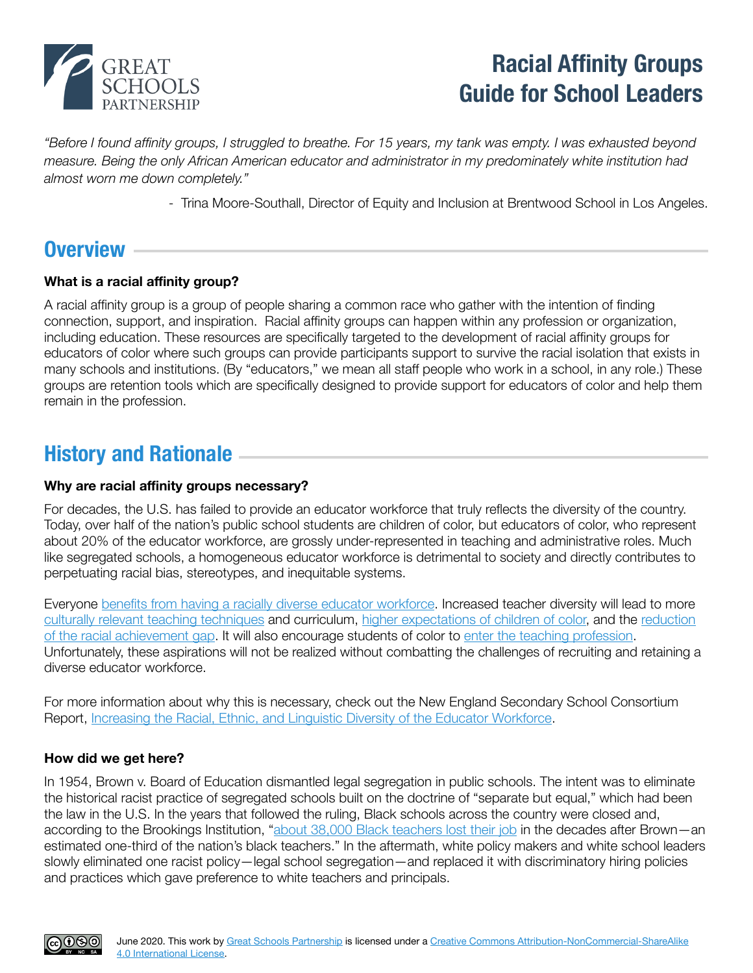

# **Racial Affinity Groups Guide for School Leaders**

*"Before I found affinity groups, I struggled to breathe. For 15 years, my tank was empty. I was exhausted beyond measure. Being the only African American educator and administrator in my predominately white institution had almost worn me down completely."* 

- Trina Moore-Southall, Director of Equity and Inclusion at Brentwood School in Los Angeles.

# **Overview**

## **What is a racial affinity group?**

A racial affinity group is a group of people sharing a common race who gather with the intention of finding connection, support, and inspiration. Racial affinity groups can happen within any profession or organization, including education. These resources are specifically targeted to the development of racial affinity groups for educators of color where such groups can provide participants support to survive the racial isolation that exists in many schools and institutions. (By "educators," we mean all staff people who work in a school, in any role.) These groups are retention tools which are specifically designed to provide support for educators of color and help them remain in the profession.

# **History and Rationale**

### **Why are racial affinity groups necessary?**

For decades, the U.S. has failed to provide an educator workforce that truly reflects the diversity of the country. Today, over half of the nation's public school students are children of color, but educators of color, who represent about 20% of the educator workforce, are grossly under-represented in teaching and administrative roles. Much like segregated schools, a homogeneous educator workforce is detrimental to society and directly contributes to perpetuating racial bias, stereotypes, and inequitable systems.

Everyone [benefits from having a racially diverse educator workforce.](https://www.nber.org/papers/w25254) Increased teacher diversity will lead to more [culturally relevant teaching techniques](http://www.educationalleadership-digital.com/educationalleadership/201904/MobilePagedArticle.action?articleId=1477356#articleId1477356) and curriculum, [higher expectations of children of color,](https://hub.jhu.edu/2016/03/30/racial-bias-teacher-expectations-black-white/) and the [reduction](https://hub.jhu.edu/2017/04/05/black-teachers-improve-student-graduation-college-access/)  [of the racial achievement gap.](https://hub.jhu.edu/2017/04/05/black-teachers-improve-student-graduation-college-access/) It will also encourage students of color to [enter the teaching profession.](https://aheadoftheheard.org/the-black-teacher-pipeline-is-clogged-by-decades-of-discrimination-heres-how-to-fix-it/) Unfortunately, these aspirations will not be realized without combatting the challenges of recruiting and retaining a diverse educator workforce.

For more information about why this is necessary, check out the New England Secondary School Consortium Report, [Increasing the Racial, Ethnic, and Linguistic Diversity of the Educator Workforce.](https://www.greatschoolspartnership.org/diversifying-the-educator-workforce/)

### **How did we get here?**

In 1954, Brown v. Board of Education dismantled legal segregation in public schools. The intent was to eliminate the historical racist practice of segregated schools built on the doctrine of "separate but equal," which had been the law in the U.S. In the years that followed the ruling, Black schools across the country were closed and, according to the Brookings Institution, "[about 38,000 Black teachers lost their job](https://www.brookings.edu/blog/brown-center-chalkboard/2018/08/15/teachers-in-the-us-are-even-more-segregated-than-students/) in the decades after Brown—an estimated one-third of the nation's black teachers." In the aftermath, white policy makers and white school leaders slowly eliminated one racist policy—legal school segregation—and replaced it with discriminatory hiring policies and practices which gave preference to white teachers and principals.

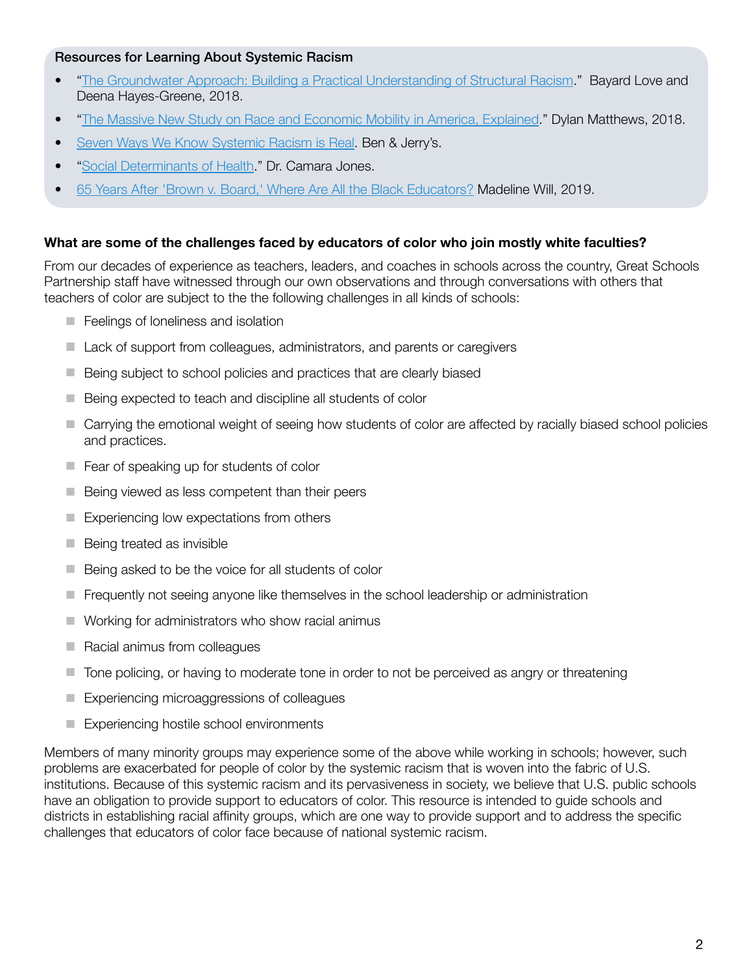### Resources for Learning About Systemic Racism

- "[The Groundwater Approach: Building a Practical Understanding of Structural Racism](https://www.racialequityinstitute.com/groundwaterapproach)." Bayard Love and Deena Hayes-Greene, 2018.
- "[The Massive New Study on Race and Economic Mobility in America, Explained](https://www.vox.com/policy-and-politics/2018/3/21/17139300/economic-mobility-study-race-black-white-women-men-incarceration-income-chetty-hendren-jones-porter)." Dylan Matthews, 2018.
- [Seven Ways We Know Systemic Racism is Real](https://www.benjerry.com/home/whats-new/2016/systemic-racism-is-real). Ben & Jerry's.
- "[Social Determinants of Health.](https://www.urban.org/policy-centers/cross-center-initiatives/social-determinants-health/projects/dr-camara-jones-explains-cliff-good-health)" Dr. Camara Jones.
- [65 Years After 'Brown v. Board,' Where Are All the Black Educators?](https://www.edweek.org/ew/articles/2019/05/14/65-years-after-brown-v-board-where.html) Madeline Will, 2019.

### **What are some of the challenges faced by educators of color who join mostly white faculties?**

From our decades of experience as teachers, leaders, and coaches in schools across the country, Great Schools Partnership staff have witnessed through our own observations and through conversations with others that teachers of color are subject to the the following challenges in all kinds of schools:

- Feelings of loneliness and isolation
- Lack of support from colleagues, administrators, and parents or caregivers
- Being subject to school policies and practices that are clearly biased
- Being expected to teach and discipline all students of color
- Carrying the emotional weight of seeing how students of color are affected by racially biased school policies and practices.
- $\blacksquare$  Fear of speaking up for students of color
- $\blacksquare$  Being viewed as less competent than their peers
- $\blacksquare$  Experiencing low expectations from others
- $\blacksquare$  Being treated as invisible
- $\blacksquare$  Being asked to be the voice for all students of color
- **F** Frequently not seeing anyone like themselves in the school leadership or administration
- Working for administrators who show racial animus
- $\blacksquare$  Racial animus from colleagues
- Tone policing, or having to moderate tone in order to not be perceived as angry or threatening
- Experiencing microaggressions of colleagues
- Experiencing hostile school environments

Members of many minority groups may experience some of the above while working in schools; however, such problems are exacerbated for people of color by the systemic racism that is woven into the fabric of U.S. institutions. Because of this systemic racism and its pervasiveness in society, we believe that U.S. public schools have an obligation to provide support to educators of color. This resource is intended to guide schools and districts in establishing racial affinity groups, which are one way to provide support and to address the specific challenges that educators of color face because of national systemic racism.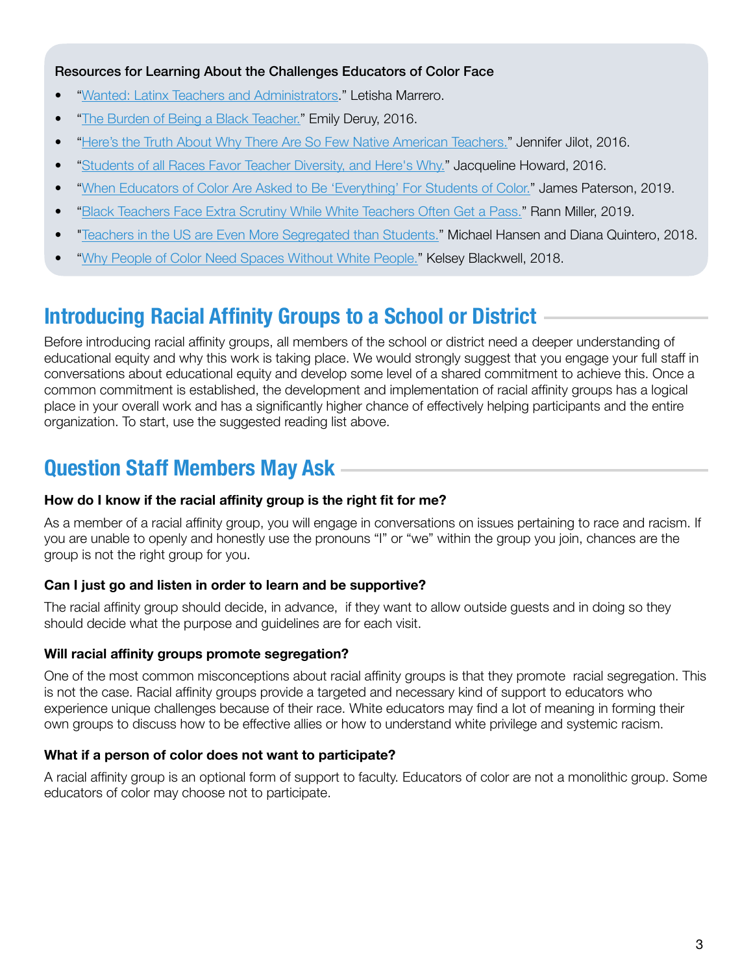### Resources for Learning About the Challenges Educators of Color Face

- "[Wanted: Latinx Teachers and Administrators.](https://content.acsa.org/articles/latinx-teachers-administrators)" Letisha Marrero.
- "[The Burden of Being a Black Teacher.](https://www.theatlantic.com/education/archive/2016/11/the-challenge-of-teaching-while-black/506672/)" Emily Deruy, 2016.
- "[Here's the Truth About Why There Are So Few Native American Teachers."](https://educationpost.org/heres-the-truth-about-why-there-are-so-few-native-american-teachers/) Jennifer Jilot, 2016.
- "[Students of all Races Favor Teacher Diversity, and Here's Why."](https://www.cnn.com/2016/10/14/health/teacher-diversity-student-preferences/) Jacqueline Howard, 2016.
- "[When Educators of Color Are Asked to Be 'Everything' For Students of Color.](http://neatoday.org/2019/10/09/educators-of-color-many-roles-in-school/)" James Paterson, 2019.
- "[Black Teachers Face Extra Scrutiny While White Teachers Often Get a Pass.](https://educationpost.org/black-teachers-face-extra-scrutiny-while-white-teachers-often-get-a-pass/)" Rann Miller, 2019.
- "[Teachers in the US are Even More Segregated than Students.](https://www.brookings.edu/blog/brown-center-chalkboard/2018/08/15/teachers-in-the-us-are-even-more-segregated-than-students/)" Michael Hansen and Diana Quintero, 2018.
- "[Why People of Color Need Spaces Without White People."](https://racialequitytools.us7.list-manage.com/track/click?u=84413019fda3662fa5e8ce89b&id=461b0ce2f4&e=3d0f207447) Kelsey Blackwell, 2018.

# **Introducing Racial Affinity Groups to a School or District**

Before introducing racial affinity groups, all members of the school or district need a deeper understanding of educational equity and why this work is taking place. We would strongly suggest that you engage your full staff in conversations about educational equity and develop some level of a shared commitment to achieve this. Once a common commitment is established, the development and implementation of racial affinity groups has a logical place in your overall work and has a significantly higher chance of effectively helping participants and the entire organization. To start, use the suggested reading list above.

# **Question Staff Members May Ask**

## **How do I know if the racial affinity group is the right fit for me?**

As a member of a racial affinity group, you will engage in conversations on issues pertaining to race and racism. If you are unable to openly and honestly use the pronouns "I" or "we" within the group you join, chances are the group is not the right group for you.

# **Can I just go and listen in order to learn and be supportive?**

The racial affinity group should decide, in advance, if they want to allow outside guests and in doing so they should decide what the purpose and guidelines are for each visit.

# **Will racial affinity groups promote segregation?**

One of the most common misconceptions about racial affinity groups is that they promote racial segregation. This is not the case. Racial affinity groups provide a targeted and necessary kind of support to educators who experience unique challenges because of their race. White educators may find a lot of meaning in forming their own groups to discuss how to be effective allies or how to understand white privilege and systemic racism.

# **What if a person of color does not want to participate?**

A racial affinity group is an optional form of support to faculty. Educators of color are not a monolithic group. Some educators of color may choose not to participate.